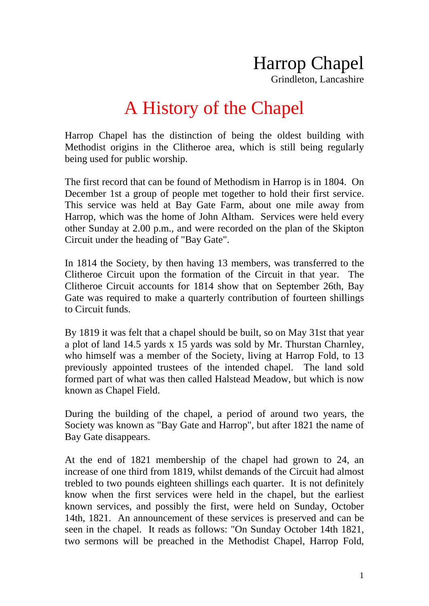Grindleton, Lancashire

## A History of the Chapel

Harrop Chapel has the distinction of being the oldest building with Methodist origins in the Clitheroe area, which is still being regularly being used for public worship.

The first record that can be found of Methodism in Harrop is in 1804. On December 1st a group of people met together to hold their first service. This service was held at Bay Gate Farm, about one mile away from Harrop, which was the home of John Altham. Services were held every other Sunday at 2.00 p.m., and were recorded on the plan of the Skipton Circuit under the heading of "Bay Gate".

In 1814 the Society, by then having 13 members, was transferred to the Clitheroe Circuit upon the formation of the Circuit in that year. The Clitheroe Circuit accounts for 1814 show that on September 26th, Bay Gate was required to make a quarterly contribution of fourteen shillings to Circuit funds.

By 1819 it was felt that a chapel should be built, so on May 31st that year a plot of land 14.5 yards x 15 yards was sold by Mr. Thurstan Charnley, who himself was a member of the Society, living at Harrop Fold, to 13 previously appointed trustees of the intended chapel. The land sold formed part of what was then called Halstead Meadow, but which is now known as Chapel Field.

During the building of the chapel, a period of around two years, the Society was known as "Bay Gate and Harrop", but after 1821 the name of Bay Gate disappears.

At the end of 1821 membership of the chapel had grown to 24, an increase of one third from 1819, whilst demands of the Circuit had almost trebled to two pounds eighteen shillings each quarter. It is not definitely know when the first services were held in the chapel, but the earliest known services, and possibly the first, were held on Sunday, October 14th, 1821. An announcement of these services is preserved and can be seen in the chapel. It reads as follows: "On Sunday October 14th 1821, two sermons will be preached in the Methodist Chapel, Harrop Fold,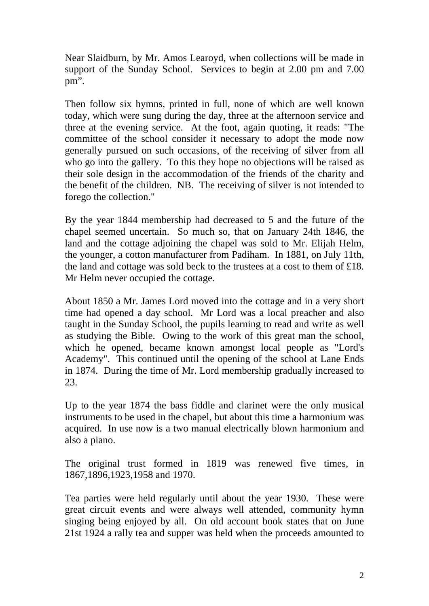Near Slaidburn, by Mr. Amos Learoyd, when collections will be made in support of the Sunday School. Services to begin at 2.00 pm and 7.00 pm".

Then follow six hymns, printed in full, none of which are well known today, which were sung during the day, three at the afternoon service and three at the evening service. At the foot, again quoting, it reads: "The committee of the school consider it necessary to adopt the mode now generally pursued on such occasions, of the receiving of silver from all who go into the gallery. To this they hope no objections will be raised as their sole design in the accommodation of the friends of the charity and the benefit of the children. NB. The receiving of silver is not intended to forego the collection."

By the year 1844 membership had decreased to 5 and the future of the chapel seemed uncertain. So much so, that on January 24th 1846, the land and the cottage adjoining the chapel was sold to Mr. Elijah Helm, the younger, a cotton manufacturer from Padiham. In 1881, on July 11th, the land and cottage was sold beck to the trustees at a cost to them of £18. Mr Helm never occupied the cottage.

About 1850 a Mr. James Lord moved into the cottage and in a very short time had opened a day school. Mr Lord was a local preacher and also taught in the Sunday School, the pupils learning to read and write as well as studying the Bible. Owing to the work of this great man the school, which he opened, became known amongst local people as "Lord's Academy". This continued until the opening of the school at Lane Ends in 1874. During the time of Mr. Lord membership gradually increased to 23.

Up to the year 1874 the bass fiddle and clarinet were the only musical instruments to be used in the chapel, but about this time a harmonium was acquired. In use now is a two manual electrically blown harmonium and also a piano.

The original trust formed in 1819 was renewed five times, in 1867,1896,1923,1958 and 1970.

Tea parties were held regularly until about the year 1930. These were great circuit events and were always well attended, community hymn singing being enjoyed by all. On old account book states that on June 21st 1924 a rally tea and supper was held when the proceeds amounted to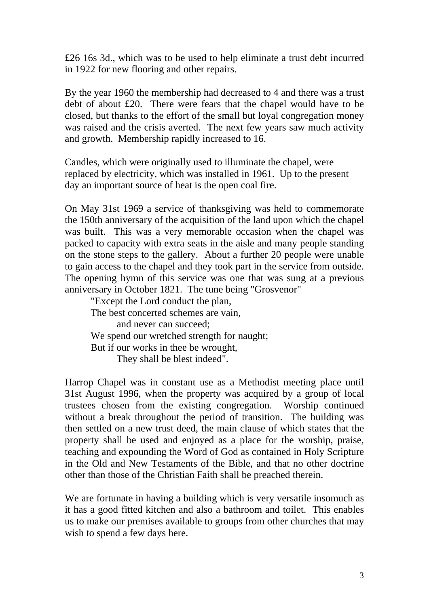£26 16s 3d., which was to be used to help eliminate a trust debt incurred in 1922 for new flooring and other repairs.

By the year 1960 the membership had decreased to 4 and there was a trust debt of about £20. There were fears that the chapel would have to be closed, but thanks to the effort of the small but loyal congregation money was raised and the crisis averted. The next few years saw much activity and growth. Membership rapidly increased to 16.

Candles, which were originally used to illuminate the chapel, were replaced by electricity, which was installed in 1961. Up to the present day an important source of heat is the open coal fire.

On May 31st 1969 a service of thanksgiving was held to commemorate the 150th anniversary of the acquisition of the land upon which the chapel was built. This was a very memorable occasion when the chapel was packed to capacity with extra seats in the aisle and many people standing on the stone steps to the gallery. About a further 20 people were unable to gain access to the chapel and they took part in the service from outside. The opening hymn of this service was one that was sung at a previous anniversary in October 1821. The tune being "Grosvenor"

 "Except the Lord conduct the plan, The best concerted schemes are vain, and never can succeed; We spend our wretched strength for naught; But if our works in thee be wrought, They shall be blest indeed".

Harrop Chapel was in constant use as a Methodist meeting place until 31st August 1996, when the property was acquired by a group of local trustees chosen from the existing congregation. Worship continued without a break throughout the period of transition. The building was then settled on a new trust deed, the main clause of which states that the property shall be used and enjoyed as a place for the worship, praise, teaching and expounding the Word of God as contained in Holy Scripture in the Old and New Testaments of the Bible, and that no other doctrine other than those of the Christian Faith shall be preached therein.

We are fortunate in having a building which is very versatile insomuch as it has a good fitted kitchen and also a bathroom and toilet. This enables us to make our premises available to groups from other churches that may wish to spend a few days here.